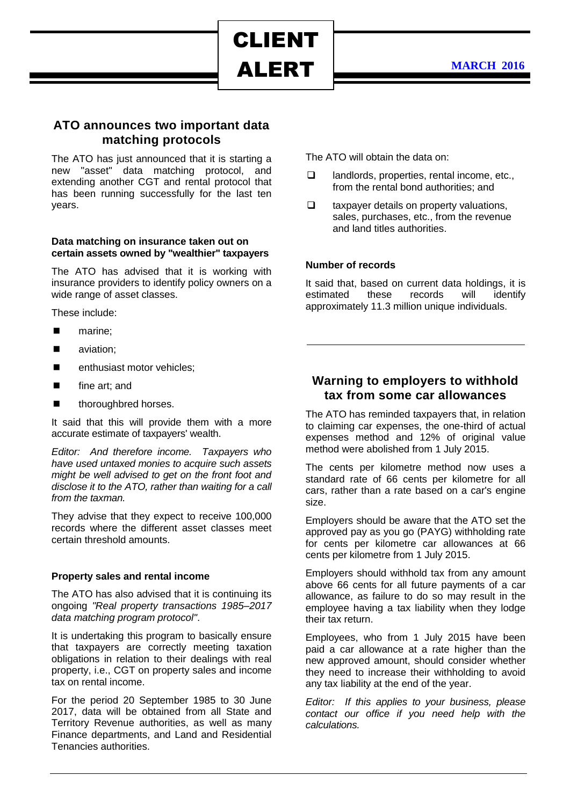# ALERT

CLIENT

## **ATO announces two important data matching protocols**

The ATO has just announced that it is starting a new "asset" data matching protocol, and extending another CGT and rental protocol that has been running successfully for the last ten years.

#### **Data matching on insurance taken out on certain assets owned by "wealthier" taxpayers**

The ATO has advised that it is working with insurance providers to identify policy owners on a wide range of asset classes.

These include:

- marine;
- aviation:
- enthusiast motor vehicles;
- fine art; and
- **n** thoroughbred horses.

It said that this will provide them with a more accurate estimate of taxpayers' wealth.

*Editor: And therefore income. Taxpayers who have used untaxed monies to acquire such assets might be well advised to get on the front foot and disclose it to the ATO, rather than waiting for a call from the taxman.*

They advise that they expect to receive 100,000 records where the different asset classes meet certain threshold amounts.

### **Property sales and rental income**

The ATO has also advised that it is continuing its ongoing *"Real property transactions 1985–2017 data matching program protocol"*.

It is undertaking this program to basically ensure that taxpayers are correctly meeting taxation obligations in relation to their dealings with real property, i.e., CGT on property sales and income tax on rental income.

For the period 20 September 1985 to 30 June 2017, data will be obtained from all State and Territory Revenue authorities, as well as many Finance departments, and Land and Residential Tenancies authorities.

The ATO will obtain the data on:

- $\Box$  landlords, properties, rental income, etc., from the rental bond authorities; and
- $\Box$  taxpayer details on property valuations, sales, purchases, etc., from the revenue and land titles authorities.

## **Number of records**

It said that, based on current data holdings, it is estimated these records will identify approximately 11.3 million unique individuals.

## **Warning to employers to withhold tax from some car allowances**

The ATO has reminded taxpayers that, in relation to claiming car expenses, the one-third of actual expenses method and 12% of original value method were abolished from 1 July 2015.

The cents per kilometre method now uses a standard rate of 66 cents per kilometre for all cars, rather than a rate based on a car's engine size.

Employers should be aware that the ATO set the approved pay as you go (PAYG) withholding rate for cents per kilometre car allowances at 66 cents per kilometre from 1 July 2015.

Employers should withhold tax from any amount above 66 cents for all future payments of a car allowance, as failure to do so may result in the employee having a tax liability when they lodge their tax return.

Employees, who from 1 July 2015 have been paid a car allowance at a rate higher than the new approved amount, should consider whether they need to increase their withholding to avoid any tax liability at the end of the year.

*Editor: If this applies to your business, please contact our office if you need help with the calculations.*